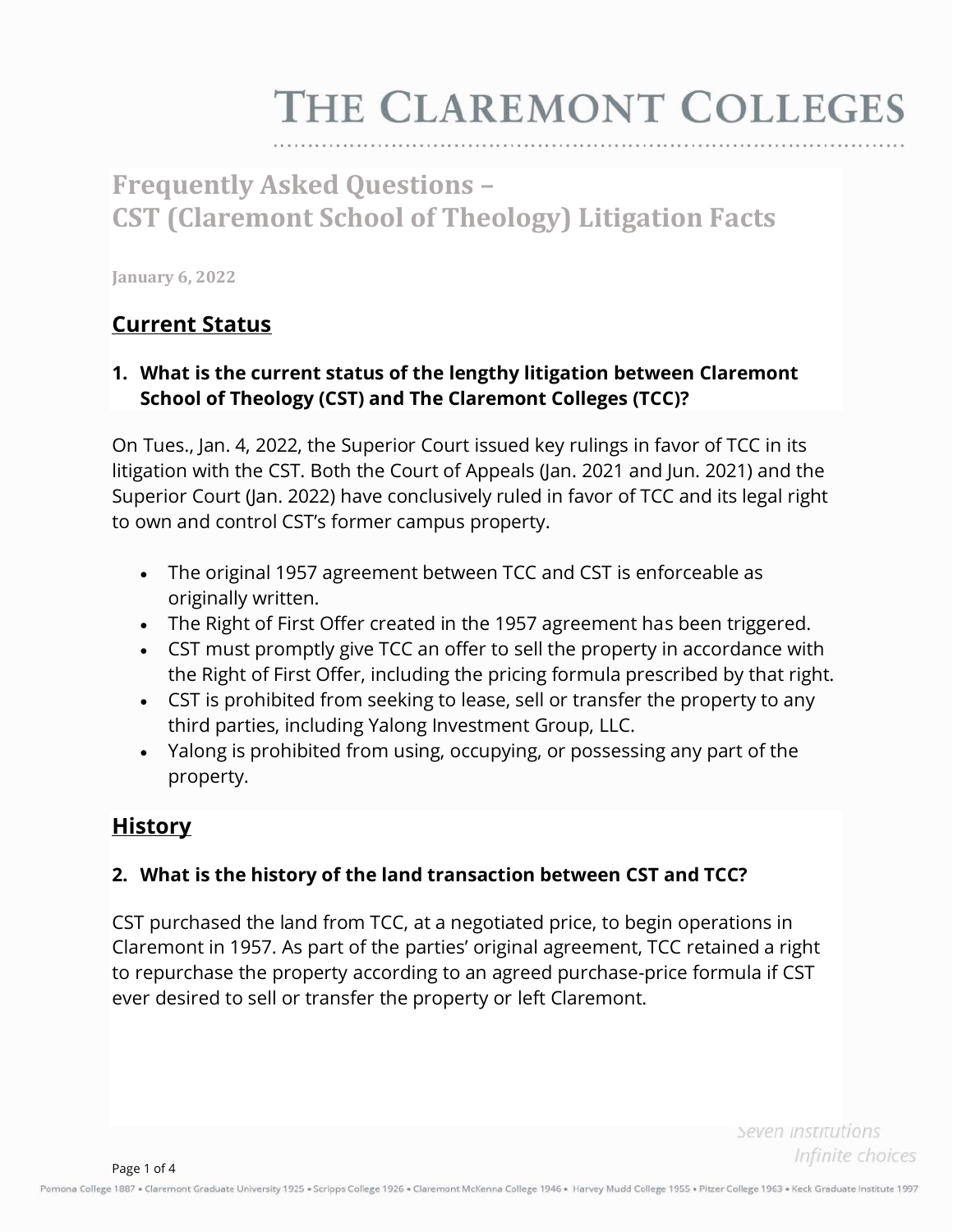# THE CLAREMONT COLLEGES

# **Frequently Asked Questions – CST (Claremont School of Theology) Litigation Facts**

**January 6, 2022**

## **Current Status**

#### **1. What is the current status of the lengthy litigation between Claremont School of Theology (CST) and The Claremont Colleges (TCC)?**

On Tues., Jan. 4, 2022, the Superior Court issued key rulings in favor of TCC in its litigation with the CST. Both the Court of Appeals (Jan. 2021 and Jun. 2021) and the Superior Court (Jan. 2022) have conclusively ruled in favor of TCC and its legal right to own and control CST's former campus property.

- The original 1957 agreement between TCC and CST is enforceable as originally written.
- The Right of First Offer created in the 1957 agreement has been triggered.
- CST must promptly give TCC an offer to sell the property in accordance with the Right of First Offer, including the pricing formula prescribed by that right.
- CST is prohibited from seeking to lease, sell or transfer the property to any third parties, including Yalong Investment Group, LLC.
- Yalong is prohibited from using, occupying, or possessing any part of the property.

### **History**

#### **2. What is the history of the land transaction between CST and TCC?**

CST purchased the land from TCC, at a negotiated price, to begin operations in Claremont in 1957. As part of the parties' original agreement, TCC retained a right to repurchase the property according to an agreed purchase-price formula if CST ever desired to sell or transfer the property or left Claremont.

> Seven institutions Infinite choices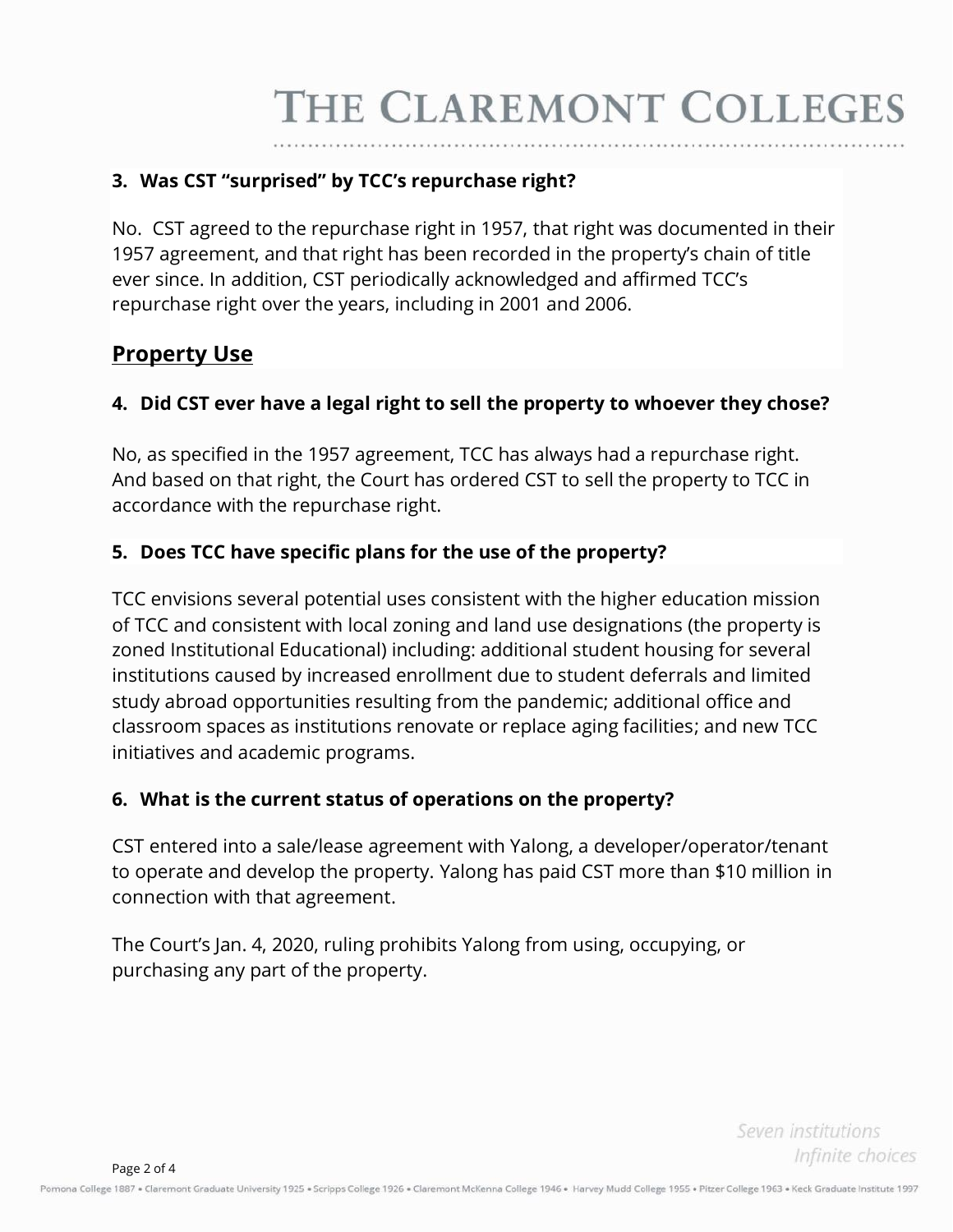#### **3. Was CST "surprised" by TCC's repurchase right?**

No. CST agreed to the repurchase right in 1957, that right was documented in their 1957 agreement, and that right has been recorded in the property's chain of title ever since. In addition, CST periodically acknowledged and affirmed TCC's repurchase right over the years, including in 2001 and 2006.

# **Property Use**

#### **4. Did CST ever have a legal right to sell the property to whoever they chose?**

No, as specified in the 1957 agreement, TCC has always had a repurchase right. And based on that right, the Court has ordered CST to sell the property to TCC in accordance with the repurchase right.

#### **5. Does TCC have specific plans for the use of the property?**

TCC envisions several potential uses consistent with the higher education mission of TCC and consistent with local zoning and land use designations (the property is zoned Institutional Educational) including: additional student housing for several institutions caused by increased enrollment due to student deferrals and limited study abroad opportunities resulting from the pandemic; additional office and classroom spaces as institutions renovate or replace aging facilities; and new TCC initiatives and academic programs.

#### **6. What is the current status of operations on the property?**

CST entered into a sale/lease agreement with Yalong, a developer/operator/tenant to operate and develop the property. Yalong has paid CST more than \$10 million in connection with that agreement.

The Court's Jan. 4, 2020, ruling prohibits Yalong from using, occupying, or purchasing any part of the property.

> Seven institutions Infinite choices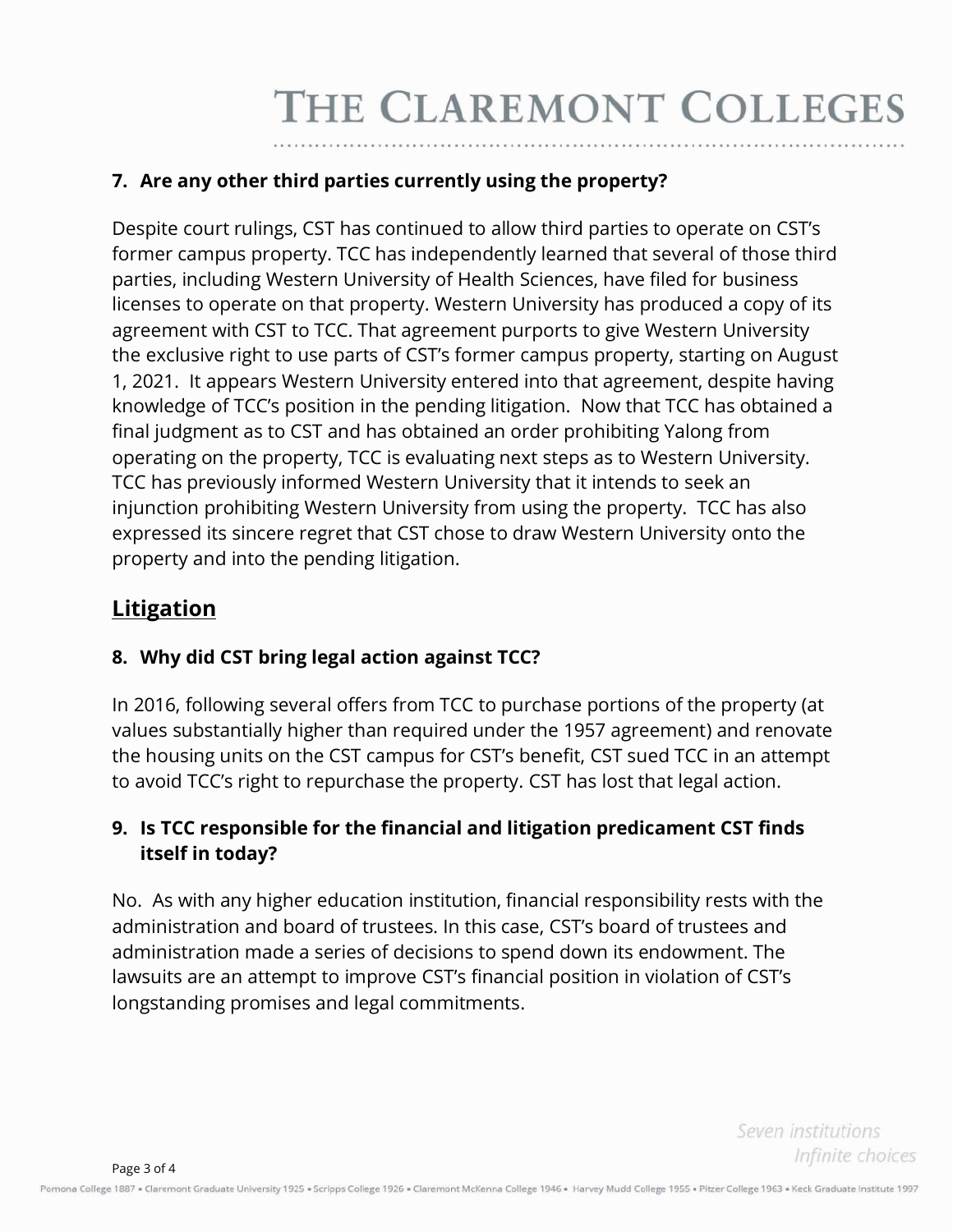#### **7. Are any other third parties currently using the property?**

Despite court rulings, CST has continued to allow third parties to operate on CST's former campus property. TCC has independently learned that several of those third parties, including Western University of Health Sciences, have filed for business licenses to operate on that property. Western University has produced a copy of its agreement with CST to TCC. That agreement purports to give Western University the exclusive right to use parts of CST's former campus property, starting on August 1, 2021. It appears Western University entered into that agreement, despite having knowledge of TCC's position in the pending litigation. Now that TCC has obtained a final judgment as to CST and has obtained an order prohibiting Yalong from operating on the property, TCC is evaluating next steps as to Western University. TCC has previously informed Western University that it intends to seek an injunction prohibiting Western University from using the property. TCC has also expressed its sincere regret that CST chose to draw Western University onto the property and into the pending litigation.

# **Litigation**

#### **8. Why did CST bring legal action against TCC?**

In 2016, following several offers from TCC to purchase portions of the property (at values substantially higher than required under the 1957 agreement) and renovate the housing units on the CST campus for CST's benefit, CST sued TCC in an attempt to avoid TCC's right to repurchase the property. CST has lost that legal action.

#### **9. Is TCC responsible for the financial and litigation predicament CST finds itself in today?**

No. As with any higher education institution, financial responsibility rests with the administration and board of trustees. In this case, CST's board of trustees and administration made a series of decisions to spend down its endowment. The lawsuits are an attempt to improve CST's financial position in violation of CST's longstanding promises and legal commitments.

> Seven institutions Infinite choices